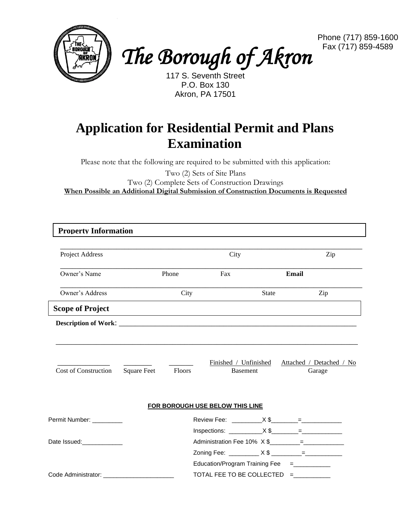



Phone (717) 859-1600 Fax (717) 859-4589

117 S. Seventh Street P.O. Box 130 Akron, PA 17501

## **Application for Residential Permit and Plans Examination**

Please note that the following are required to be submitted with this application:

Two (2) Sets of Site Plans Two (2) Complete Sets of Construction Drawings **When Possible an Additional Digital Submission of Construction Documents is Requested**

| <b>Property Information</b>                                                                                                                                                                                                         |                    |        |                                                                          |                 |       |                                                          |
|-------------------------------------------------------------------------------------------------------------------------------------------------------------------------------------------------------------------------------------|--------------------|--------|--------------------------------------------------------------------------|-----------------|-------|----------------------------------------------------------|
| Project Address                                                                                                                                                                                                                     |                    |        | City                                                                     |                 | Zip   |                                                          |
| Owner's Name                                                                                                                                                                                                                        |                    | Phone  | Fax                                                                      |                 | Email |                                                          |
| Owner's Address                                                                                                                                                                                                                     |                    | City   |                                                                          | <b>State</b>    |       | Zip                                                      |
| <b>Scope of Project</b>                                                                                                                                                                                                             |                    |        |                                                                          |                 |       |                                                          |
| <b>Description of Work:</b> North 2008 and 2008 and 2008 and 2008 and 2008 and 2008 and 2008 and 2008 and 2008 and 2008 and 2008 and 2008 and 2008 and 2008 and 2008 and 2008 and 2008 and 2008 and 2008 and 2008 and 2008 and 2008 |                    |        |                                                                          |                 |       |                                                          |
| <b>Cost of Construction</b>                                                                                                                                                                                                         | <b>Square Feet</b> | Floors |                                                                          | <b>Basement</b> |       | Finished / Unfinished Attached / Detached / No<br>Garage |
|                                                                                                                                                                                                                                     |                    |        | FOR BOROUGH USE BELOW THIS LINE                                          |                 |       |                                                          |
| Permit Number: __________                                                                                                                                                                                                           |                    |        |                                                                          |                 |       |                                                          |
| Date Issued: National Property of the Date Issued:                                                                                                                                                                                  |                    |        | Zoning Fee: __________ X \$ ________= _________                          |                 |       |                                                          |
| Code Administrator:                                                                                                                                                                                                                 |                    |        | Education/Program Training Fee =___________<br>TOTAL FEE TO BE COLLECTED |                 | $=$   |                                                          |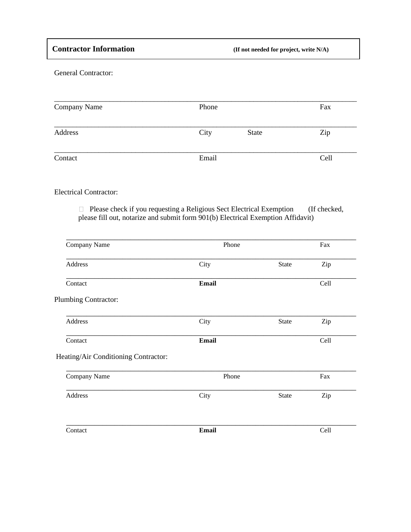General Contractor:

| Company Name | Phone |              | Fax  |
|--------------|-------|--------------|------|
| Address      | City  | <b>State</b> | Zip  |
| Contact      | Email |              | Cell |

## Electrical Contractor:

 $\Box$  Please check if you requesting a Religious Sect Electrical Exemption (If checked, please fill out, notarize and submit form 901(b) Electrical Exemption Affidavit)

| Phone        |              | Fax  |  |
|--------------|--------------|------|--|
| City         | State        | Zip  |  |
| <b>Email</b> |              | Cell |  |
|              |              |      |  |
| City         | State        | Zip  |  |
| <b>Email</b> |              | Cell |  |
|              |              |      |  |
| Phone        |              | Fax  |  |
| City         | State        | Zip  |  |
|              |              | Cell |  |
|              | <b>Email</b> |      |  |